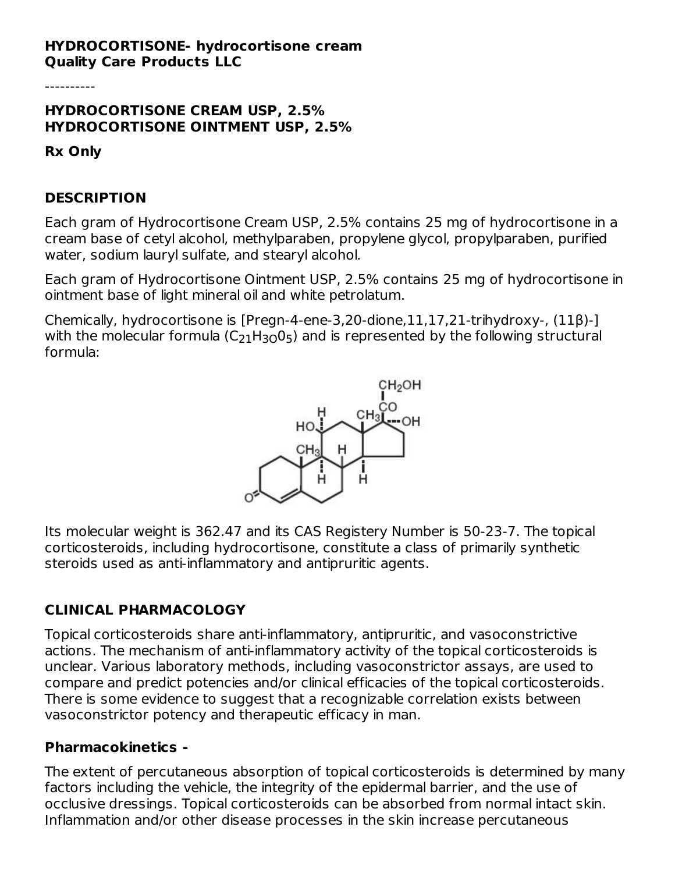#### **HYDROCORTISONE- hydrocortisone cream Quality Care Products LLC**

----------

#### **HYDROCORTISONE CREAM USP, 2.5% HYDROCORTISONE OINTMENT USP, 2.5%**

**Rx Only**

#### **DESCRIPTION**

Each gram of Hydrocortisone Cream USP, 2.5% contains 25 mg of hydrocortisone in a cream base of cetyl alcohol, methylparaben, propylene glycol, propylparaben, purified water, sodium lauryl sulfate, and stearyl alcohol.

Each gram of Hydrocortisone Ointment USP, 2.5% contains 25 mg of hydrocortisone in ointment base of light mineral oil and white petrolatum.

Chemically, hydrocortisone is [Pregn-4-ene-3,20-dione,11,17,21-trihydroxy-, (11β)-] with the molecular formula (C $_{21}$ H $_{3O}$ 0<sub>5</sub>) and is represented by the following structural formula:



Its molecular weight is 362.47 and its CAS Registery Number is 50-23-7. The topical corticosteroids, including hydrocortisone, constitute a class of primarily synthetic steroids used as anti-inflammatory and antipruritic agents.

# **CLINICAL PHARMACOLOGY**

Topical corticosteroids share anti-inflammatory, antipruritic, and vasoconstrictive actions. The mechanism of anti-inflammatory activity of the topical corticosteroids is unclear. Various laboratory methods, including vasoconstrictor assays, are used to compare and predict potencies and/or clinical efficacies of the topical corticosteroids. There is some evidence to suggest that a recognizable correlation exists between vasoconstrictor potency and therapeutic efficacy in man.

## **Pharmacokinetics -**

The extent of percutaneous absorption of topical corticosteroids is determined by many factors including the vehicle, the integrity of the epidermal barrier, and the use of occlusive dressings. Topical corticosteroids can be absorbed from normal intact skin. Inflammation and/or other disease processes in the skin increase percutaneous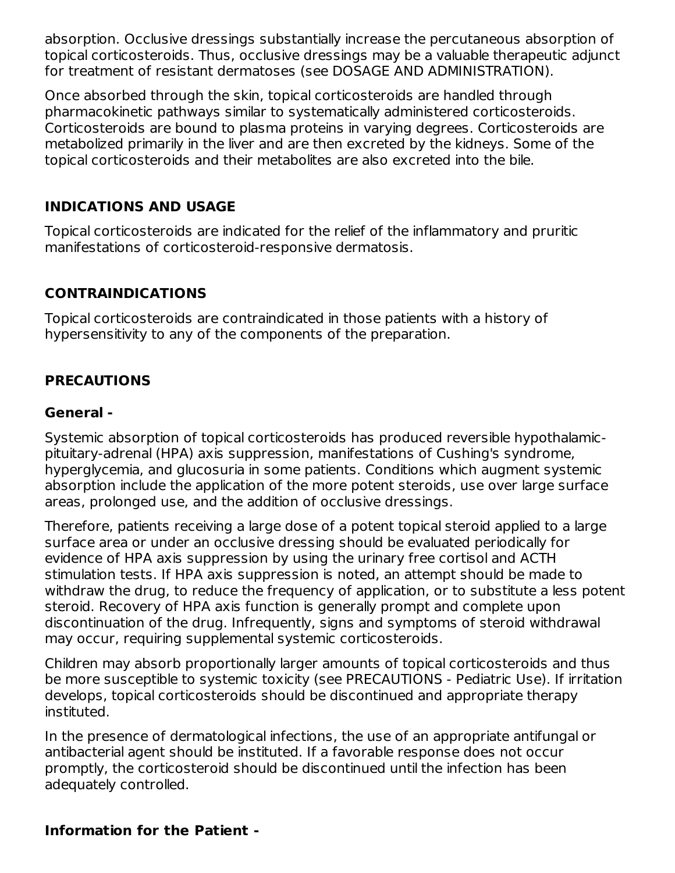absorption. Occlusive dressings substantially increase the percutaneous absorption of topical corticosteroids. Thus, occlusive dressings may be a valuable therapeutic adjunct for treatment of resistant dermatoses (see DOSAGE AND ADMINISTRATION).

Once absorbed through the skin, topical corticosteroids are handled through pharmacokinetic pathways similar to systematically administered corticosteroids. Corticosteroids are bound to plasma proteins in varying degrees. Corticosteroids are metabolized primarily in the liver and are then excreted by the kidneys. Some of the topical corticosteroids and their metabolites are also excreted into the bile.

# **INDICATIONS AND USAGE**

Topical corticosteroids are indicated for the relief of the inflammatory and pruritic manifestations of corticosteroid-responsive dermatosis.

# **CONTRAINDICATIONS**

Topical corticosteroids are contraindicated in those patients with a history of hypersensitivity to any of the components of the preparation.

# **PRECAUTIONS**

#### **General -**

Systemic absorption of topical corticosteroids has produced reversible hypothalamicpituitary-adrenal (HPA) axis suppression, manifestations of Cushing's syndrome, hyperglycemia, and glucosuria in some patients. Conditions which augment systemic absorption include the application of the more potent steroids, use over large surface areas, prolonged use, and the addition of occlusive dressings.

Therefore, patients receiving a large dose of a potent topical steroid applied to a large surface area or under an occlusive dressing should be evaluated periodically for evidence of HPA axis suppression by using the urinary free cortisol and ACTH stimulation tests. If HPA axis suppression is noted, an attempt should be made to withdraw the drug, to reduce the frequency of application, or to substitute a less potent steroid. Recovery of HPA axis function is generally prompt and complete upon discontinuation of the drug. Infrequently, signs and symptoms of steroid withdrawal may occur, requiring supplemental systemic corticosteroids.

Children may absorb proportionally larger amounts of topical corticosteroids and thus be more susceptible to systemic toxicity (see PRECAUTIONS - Pediatric Use). If irritation develops, topical corticosteroids should be discontinued and appropriate therapy instituted.

In the presence of dermatological infections, the use of an appropriate antifungal or antibacterial agent should be instituted. If a favorable response does not occur promptly, the corticosteroid should be discontinued until the infection has been adequately controlled.

## **Information for the Patient -**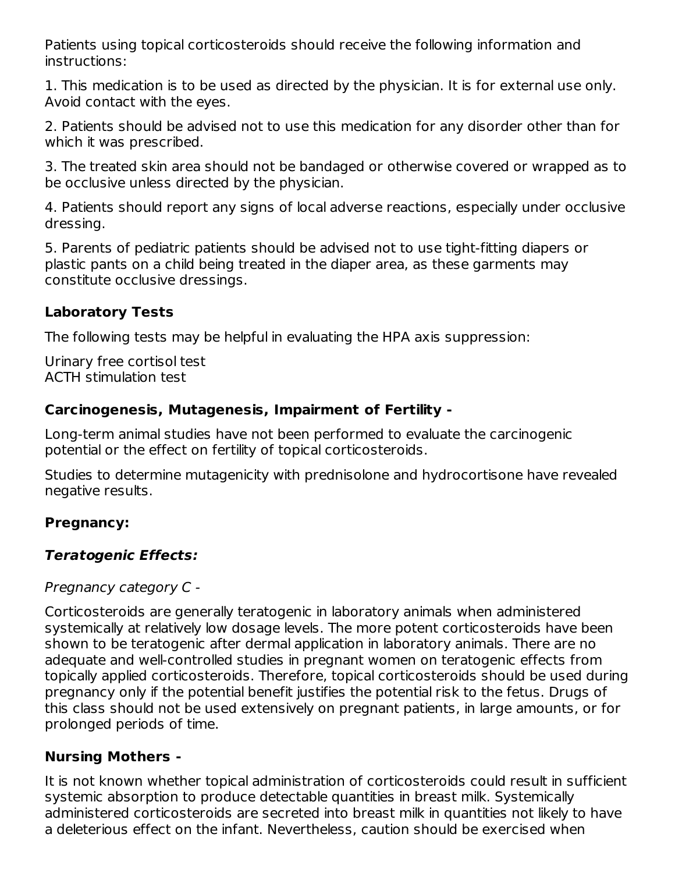Patients using topical corticosteroids should receive the following information and instructions:

1. This medication is to be used as directed by the physician. It is for external use only. Avoid contact with the eyes.

2. Patients should be advised not to use this medication for any disorder other than for which it was prescribed.

3. The treated skin area should not be bandaged or otherwise covered or wrapped as to be occlusive unless directed by the physician.

4. Patients should report any signs of local adverse reactions, especially under occlusive dressing.

5. Parents of pediatric patients should be advised not to use tight-fitting diapers or plastic pants on a child being treated in the diaper area, as these garments may constitute occlusive dressings.

# **Laboratory Tests**

The following tests may be helpful in evaluating the HPA axis suppression:

Urinary free cortisol test ACTH stimulation test

# **Carcinogenesis, Mutagenesis, Impairment of Fertility -**

Long-term animal studies have not been performed to evaluate the carcinogenic potential or the effect on fertility of topical corticosteroids.

Studies to determine mutagenicity with prednisolone and hydrocortisone have revealed negative results.

# **Pregnancy:**

# **Teratogenic Effects:**

## Pregnancy category C -

Corticosteroids are generally teratogenic in laboratory animals when administered systemically at relatively low dosage levels. The more potent corticosteroids have been shown to be teratogenic after dermal application in laboratory animals. There are no adequate and well-controlled studies in pregnant women on teratogenic effects from topically applied corticosteroids. Therefore, topical corticosteroids should be used during pregnancy only if the potential benefit justifies the potential risk to the fetus. Drugs of this class should not be used extensively on pregnant patients, in large amounts, or for prolonged periods of time.

# **Nursing Mothers -**

It is not known whether topical administration of corticosteroids could result in sufficient systemic absorption to produce detectable quantities in breast milk. Systemically administered corticosteroids are secreted into breast milk in quantities not likely to have a deleterious effect on the infant. Nevertheless, caution should be exercised when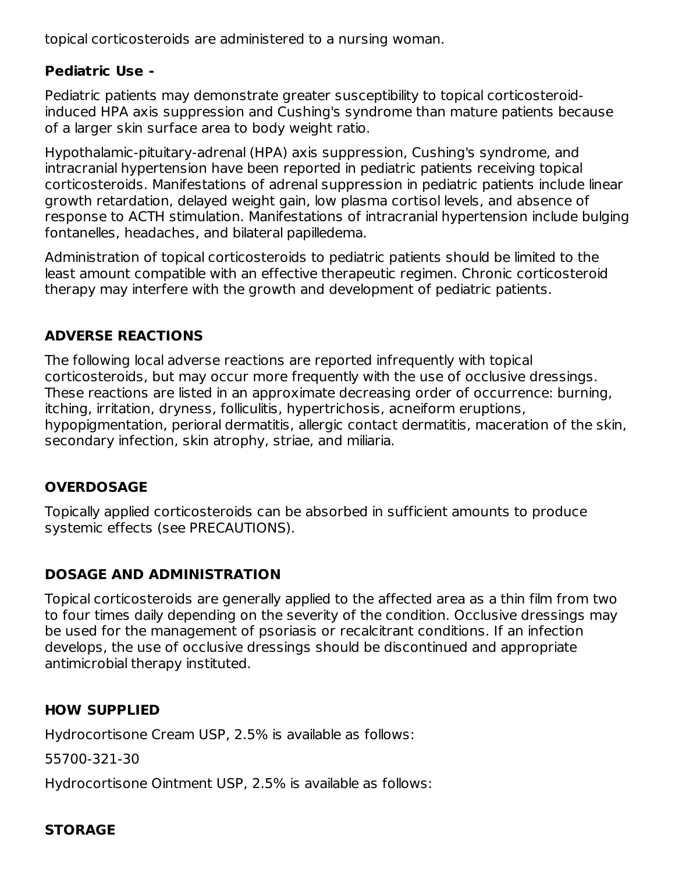topical corticosteroids are administered to a nursing woman.

## **Pediatric Use -**

Pediatric patients may demonstrate greater susceptibility to topical corticosteroidinduced HPA axis suppression and Cushing's syndrome than mature patients because of a larger skin surface area to body weight ratio.

Hypothalamic-pituitary-adrenal (HPA) axis suppression, Cushing's syndrome, and intracranial hypertension have been reported in pediatric patients receiving topical corticosteroids. Manifestations of adrenal suppression in pediatric patients include linear growth retardation, delayed weight gain, low plasma cortisol levels, and absence of response to ACTH stimulation. Manifestations of intracranial hypertension include bulging fontanelles, headaches, and bilateral papilledema.

Administration of topical corticosteroids to pediatric patients should be limited to the least amount compatible with an effective therapeutic regimen. Chronic corticosteroid therapy may interfere with the growth and development of pediatric patients.

# **ADVERSE REACTIONS**

The following local adverse reactions are reported infrequently with topical corticosteroids, but may occur more frequently with the use of occlusive dressings. These reactions are listed in an approximate decreasing order of occurrence: burning, itching, irritation, dryness, folliculitis, hypertrichosis, acneiform eruptions, hypopigmentation, perioral dermatitis, allergic contact dermatitis, maceration of the skin, secondary infection, skin atrophy, striae, and miliaria.

# **OVERDOSAGE**

Topically applied corticosteroids can be absorbed in sufficient amounts to produce systemic effects (see PRECAUTIONS).

# **DOSAGE AND ADMINISTRATION**

Topical corticosteroids are generally applied to the affected area as a thin film from two to four times daily depending on the severity of the condition. Occlusive dressings may be used for the management of psoriasis or recalcitrant conditions. If an infection develops, the use of occlusive dressings should be discontinued and appropriate antimicrobial therapy instituted.

## **HOW SUPPLIED**

Hydrocortisone Cream USP, 2.5% is available as follows:

55700-321-30

Hydrocortisone Ointment USP, 2.5% is available as follows:

## **STORAGE**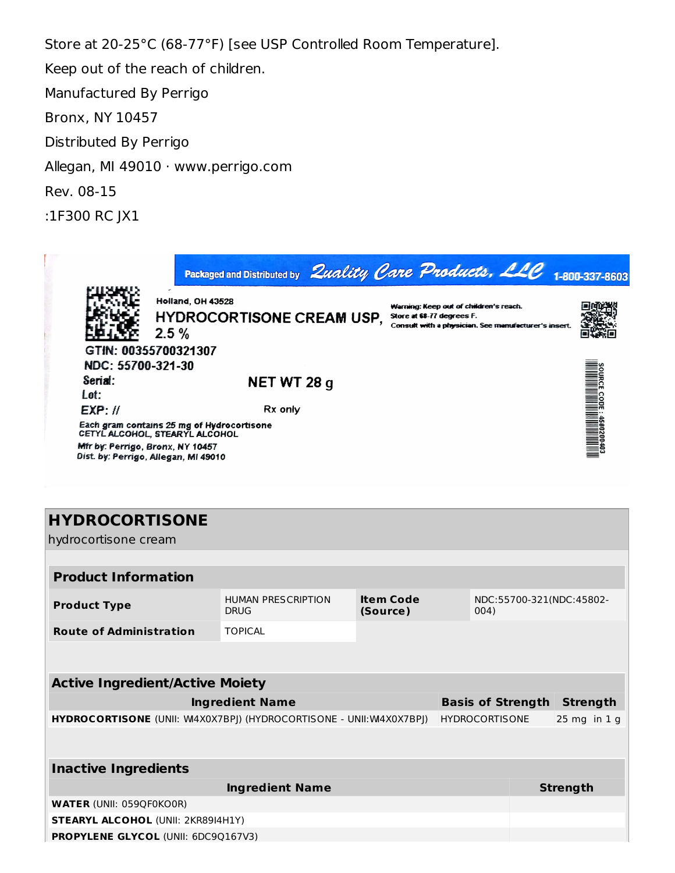Store at 20-25°C (68-77°F) [see USP Controlled Room Temperature].

Keep out of the reach of children.

Manufactured By Perrigo

Bronx, NY 10457

Distributed By Perrigo

Allegan, MI 49010 · www.perrigo.com

Rev. 08-15

:1F300 RC JX1

|                   | Packaged and Distributed by Zuality Care Products, LLC 1-800-337-8603                                                                                                                               |                                                                                                             |
|-------------------|-----------------------------------------------------------------------------------------------------------------------------------------------------------------------------------------------------|-------------------------------------------------------------------------------------------------------------|
|                   | <b>Holland, OH 43528</b><br>Warning: Keep out of children's reach.<br><b>HYDROCORTISONE CREAM USP.</b><br>Store at 68-77 degrees F.<br>Consult with a physician. See manufacturer's insert.<br>2.5% |                                                                                                             |
|                   | GTIN: 00355700321307                                                                                                                                                                                |                                                                                                             |
| NDC: 55700-321-30 |                                                                                                                                                                                                     |                                                                                                             |
| Serial:           | NET WT 28 g                                                                                                                                                                                         |                                                                                                             |
| Lot:              |                                                                                                                                                                                                     |                                                                                                             |
| EXP: H            | Rx only                                                                                                                                                                                             |                                                                                                             |
|                   | Each gram contains 25 mg of Hydrocortisone<br>CETYL ALCOHOL, STEARYL ALCOHOL                                                                                                                        | <b>ANGELO ANGELIA KATAling Parties Second Angeles Second Angeles Second Angeles Second Angeles Second A</b> |
|                   | Mfr by: Perrigo, Bronx, NY 10457<br>Dist. by: Perrigo, Allegan, MI 49010                                                                                                                            |                                                                                                             |

# **HYDROCORTISONE**

hydrocortisone cream

| <b>Product Information</b>                                         |                                                                                  |  |  |                          |                        |  |
|--------------------------------------------------------------------|----------------------------------------------------------------------------------|--|--|--------------------------|------------------------|--|
| <b>Product Type</b>                                                | <b>Item Code</b><br><b>HUMAN PRESCRIPTION</b><br><b>DRUG</b><br>004)<br>(Source) |  |  | NDC:55700-321(NDC:45802- |                        |  |
| <b>Route of Administration</b>                                     | <b>TOPICAL</b>                                                                   |  |  |                          |                        |  |
|                                                                    |                                                                                  |  |  |                          |                        |  |
|                                                                    |                                                                                  |  |  |                          |                        |  |
| <b>Active Ingredient/Active Moiety</b>                             |                                                                                  |  |  |                          |                        |  |
| <b>Ingredient Name</b><br><b>Basis of Strength</b>                 |                                                                                  |  |  |                          | <b>Strength</b>        |  |
| HYDROCORTISONE (UNII: W4X0X7BPJ) (HYDROCORTISONE - UNII:W4X0X7BPJ) |                                                                                  |  |  | <b>HYDROCORTISONE</b>    | $25 \text{ mg}$ in 1 g |  |
|                                                                    |                                                                                  |  |  |                          |                        |  |
|                                                                    |                                                                                  |  |  |                          |                        |  |
| <b>Inactive Ingredients</b>                                        |                                                                                  |  |  |                          |                        |  |
|                                                                    | <b>Ingredient Name</b>                                                           |  |  |                          | <b>Strength</b>        |  |
| <b>WATER (UNII: 059QF0KO0R)</b>                                    |                                                                                  |  |  |                          |                        |  |
| <b>STEARYL ALCOHOL (UNII: 2KR89I4H1Y)</b>                          |                                                                                  |  |  |                          |                        |  |
| <b>PROPYLENE GLYCOL (UNII: 6DC90167V3)</b>                         |                                                                                  |  |  |                          |                        |  |
|                                                                    |                                                                                  |  |  |                          |                        |  |